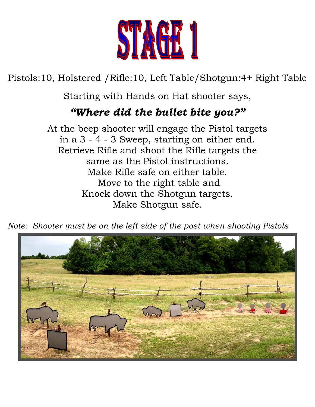

Pistols:10, Holstered /Rifle:10, Left Table/Shotgun:4+ Right Table

Starting with Hands on Hat shooter says,

## *"Where did the bullet bite you?"*

At the beep shooter will engage the Pistol targets in a 3 - 4 - 3 Sweep, starting on either end. Retrieve Rifle and shoot the Rifle targets the same as the Pistol instructions. Make Rifle safe on either table. Move to the right table and Knock down the Shotgun targets. Make Shotgun safe.

*Note: Shooter must be on the left side of the post when shooting Pistols*

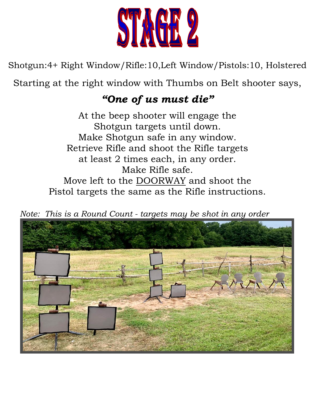

Shotgun:4+ Right Window/Rifle:10,Left Window/Pistols:10, Holstered

Starting at the right window with Thumbs on Belt shooter says,

## *"One of us must die"*

At the beep shooter will engage the Shotgun targets until down. Make Shotgun safe in any window. Retrieve Rifle and shoot the Rifle targets at least 2 times each, in any order. Make Rifle safe. Move left to the DOORWAY and shoot the Pistol targets the same as the Rifle instructions.

 *Note: This is a Round Count - targets may be shot in any order*

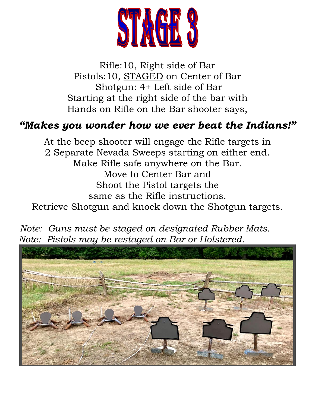

Rifle:10, Right side of Bar Pistols:10, STAGED on Center of Bar Shotgun: 4+ Left side of Bar Starting at the right side of the bar with Hands on Rifle on the Bar shooter says,

## *"Makes you wonder how we ever beat the Indians!"*

At the beep shooter will engage the Rifle targets in 2 Separate Nevada Sweeps starting on either end. Make Rifle safe anywhere on the Bar. Move to Center Bar and Shoot the Pistol targets the same as the Rifle instructions. Retrieve Shotgun and knock down the Shotgun targets.



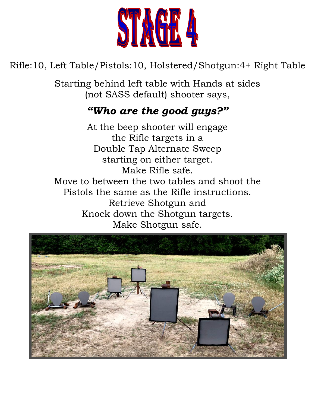

Rifle:10, Left Table/Pistols:10, Holstered/Shotgun:4+ Right Table

Starting behind left table with Hands at sides (not SASS default) shooter says,

# *"Who are the good guys?"*

At the beep shooter will engage the Rifle targets in a Double Tap Alternate Sweep starting on either target. Make Rifle safe. Move to between the two tables and shoot the Pistols the same as the Rifle instructions. Retrieve Shotgun and Knock down the Shotgun targets. Make Shotgun safe.

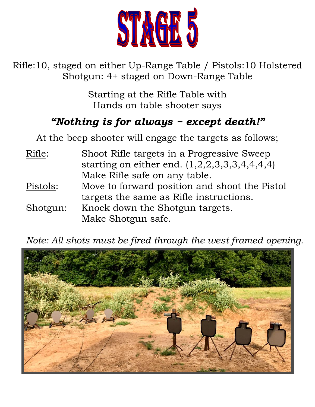

Rifle:10, staged on either Up-Range Table / Pistols:10 Holstered Shotgun: 4+ staged on Down-Range Table

> Starting at the Rifle Table with Hands on table shooter says

## *"Nothing is for always ~ except death!"*

At the beep shooter will engage the targets as follows;

| Rifle:   | Shoot Rifle targets in a Progressive Sweep      |
|----------|-------------------------------------------------|
|          | starting on either end. $(1,2,2,3,3,3,4,4,4,4)$ |
|          | Make Rifle safe on any table.                   |
| Pistols: | Move to forward position and shoot the Pistol   |
|          | targets the same as Rifle instructions.         |
| Shotgun: | Knock down the Shotgun targets.                 |
|          | Make Shotgun safe.                              |

*Note: All shots must be fired through the west framed opening.*